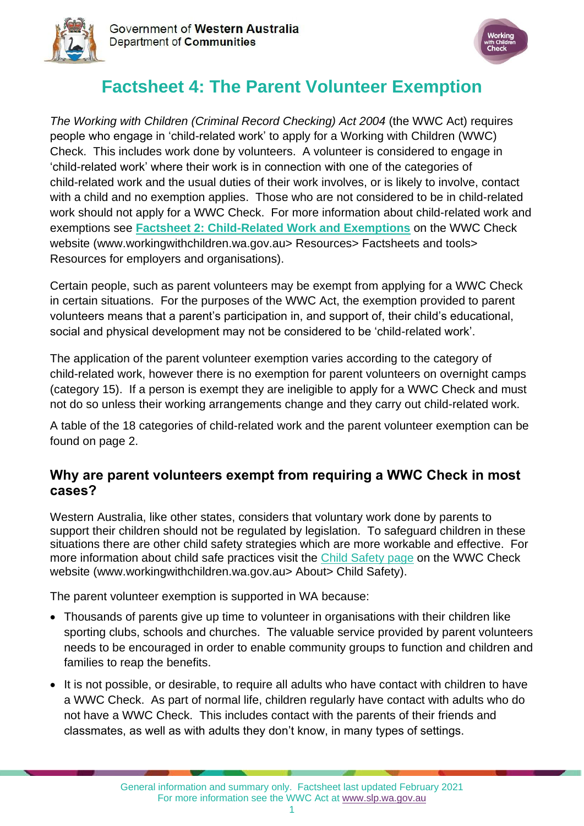



# **Factsheet 4: The Parent Volunteer Exemption**

*The Working with Children (Criminal Record Checking) Act 2004* (the WWC Act) requires people who engage in 'child-related work' to apply for a Working with Children (WWC) Check. This includes work done by volunteers. A volunteer is considered to engage in 'child-related work' where their work is in connection with one of the categories of child-related work and the usual duties of their work involves, or is likely to involve, contact with a child and no exemption applies. Those who are not considered to be in child-related work should not apply for a WWC Check. For more information about child-related work and exemptions see **[Factsheet 2: Child-Related Work and Exemptions](https://workingwithchildren.wa.gov.au/docs/default-source/default-document-library/factsheet-2-child-related-work-and-exemptions-2015.pdf)** on the WWC Check website [\(www.workingwithchildren.wa.gov.au>](http://www.workingwithchildren.wa.gov.au/) Resources> Factsheets and tools> Resources for employers and organisations).

Certain people, such as parent volunteers may be exempt from applying for a WWC Check in certain situations. For the purposes of the WWC Act, the exemption provided to parent volunteers means that a parent's participation in, and support of, their child's educational, social and physical development may not be considered to be 'child-related work'.

The application of the parent volunteer exemption varies according to the category of child-related work, however there is no exemption for parent volunteers on overnight camps (category 15). If a person is exempt they are ineligible to apply for a WWC Check and must not do so unless their working arrangements change and they carry out child-related work.

A table of the 18 categories of child-related work and the parent volunteer exemption can be found on page 2.

## **Why are parent volunteers exempt from requiring a WWC Check in most cases?**

Western Australia, like other states, considers that voluntary work done by parents to support their children should not be regulated by legislation. To safeguard children in these situations there are other child safety strategies which are more workable and effective. For more information about child safe practices visit the [Child Safety page](https://workingwithchildren.wa.gov.au/about/safeguarding-children) on the WWC Check website (www.workingwithchildren.wa.gov.au> About> Child Safety).

The parent volunteer exemption is supported in WA because:

- Thousands of parents give up time to volunteer in organisations with their children like sporting clubs, schools and churches. The valuable service provided by parent volunteers needs to be encouraged in order to enable community groups to function and children and families to reap the benefits.
- It is not possible, or desirable, to require all adults who have contact with children to have a WWC Check. As part of normal life, children regularly have contact with adults who do not have a WWC Check. This includes contact with the parents of their friends and classmates, as well as with adults they don't know, in many types of settings.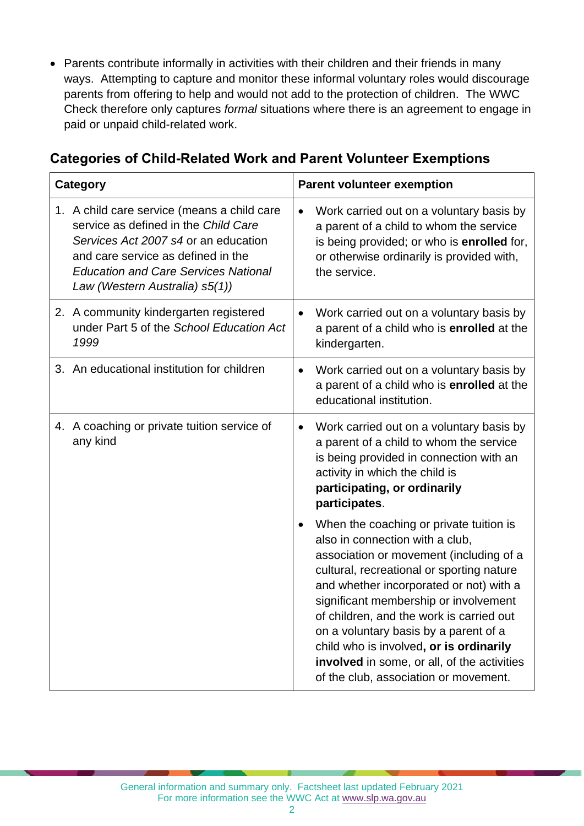• Parents contribute informally in activities with their children and their friends in many ways. Attempting to capture and monitor these informal voluntary roles would discourage parents from offering to help and would not add to the protection of children. The WWC Check therefore only captures *formal* situations where there is an agreement to engage in paid or unpaid child-related work.

|  |  |  |  | <b>Categories of Child-Related Work and Parent Volunteer Exemptions</b> |
|--|--|--|--|-------------------------------------------------------------------------|
|--|--|--|--|-------------------------------------------------------------------------|

| <b>Category</b>                                                                                                                                                                                                                                    | <b>Parent volunteer exemption</b>                                                                                                                                                                                                                                                                                                                                                                                                                                              |
|----------------------------------------------------------------------------------------------------------------------------------------------------------------------------------------------------------------------------------------------------|--------------------------------------------------------------------------------------------------------------------------------------------------------------------------------------------------------------------------------------------------------------------------------------------------------------------------------------------------------------------------------------------------------------------------------------------------------------------------------|
| 1. A child care service (means a child care<br>service as defined in the Child Care<br>Services Act 2007 s4 or an education<br>and care service as defined in the<br><b>Education and Care Services National</b><br>Law (Western Australia) s5(1)) | Work carried out on a voluntary basis by<br>a parent of a child to whom the service<br>is being provided; or who is enrolled for,<br>or otherwise ordinarily is provided with,<br>the service.                                                                                                                                                                                                                                                                                 |
| 2. A community kindergarten registered<br>under Part 5 of the School Education Act<br>1999                                                                                                                                                         | Work carried out on a voluntary basis by<br>a parent of a child who is enrolled at the<br>kindergarten.                                                                                                                                                                                                                                                                                                                                                                        |
| 3. An educational institution for children                                                                                                                                                                                                         | Work carried out on a voluntary basis by<br>$\bullet$<br>a parent of a child who is enrolled at the<br>educational institution.                                                                                                                                                                                                                                                                                                                                                |
| 4. A coaching or private tuition service of<br>any kind                                                                                                                                                                                            | Work carried out on a voluntary basis by<br>a parent of a child to whom the service<br>is being provided in connection with an<br>activity in which the child is<br>participating, or ordinarily<br>participates.                                                                                                                                                                                                                                                              |
|                                                                                                                                                                                                                                                    | When the coaching or private tuition is<br>also in connection with a club,<br>association or movement (including of a<br>cultural, recreational or sporting nature<br>and whether incorporated or not) with a<br>significant membership or involvement<br>of children, and the work is carried out<br>on a voluntary basis by a parent of a<br>child who is involved, or is ordinarily<br>involved in some, or all, of the activities<br>of the club, association or movement. |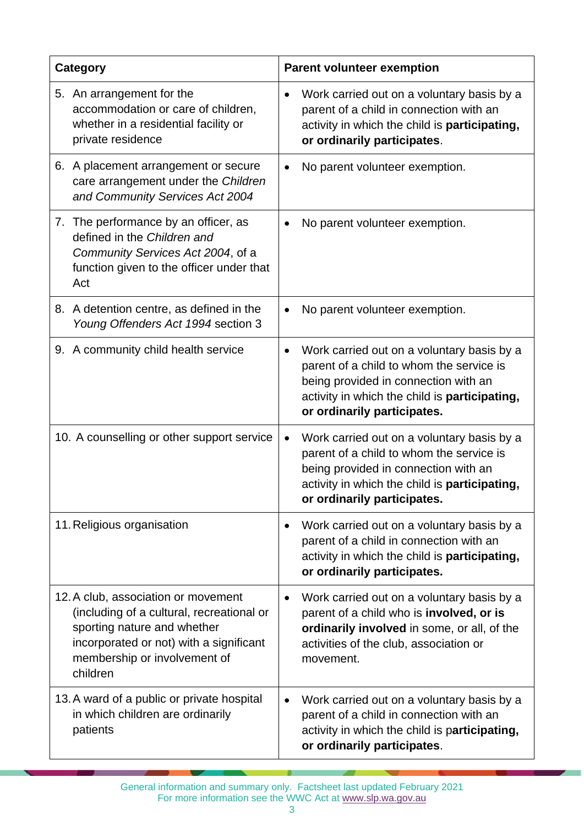| <b>Category</b>                                                                                                                                                                                        | <b>Parent volunteer exemption</b>                                                                                                                                                                                           |
|--------------------------------------------------------------------------------------------------------------------------------------------------------------------------------------------------------|-----------------------------------------------------------------------------------------------------------------------------------------------------------------------------------------------------------------------------|
| 5. An arrangement for the<br>accommodation or care of children,<br>whether in a residential facility or<br>private residence                                                                           | Work carried out on a voluntary basis by a<br>$\bullet$<br>parent of a child in connection with an<br>activity in which the child is participating,<br>or ordinarily participates.                                          |
| 6. A placement arrangement or secure<br>care arrangement under the Children<br>and Community Services Act 2004                                                                                         | No parent volunteer exemption.<br>$\bullet$                                                                                                                                                                                 |
| 7. The performance by an officer, as<br>defined in the Children and<br>Community Services Act 2004, of a<br>function given to the officer under that<br>Act                                            | No parent volunteer exemption.<br>$\bullet$                                                                                                                                                                                 |
| 8. A detention centre, as defined in the<br>Young Offenders Act 1994 section 3                                                                                                                         | No parent volunteer exemption.<br>$\bullet$                                                                                                                                                                                 |
| 9. A community child health service                                                                                                                                                                    | Work carried out on a voluntary basis by a<br>$\bullet$<br>parent of a child to whom the service is<br>being provided in connection with an<br>activity in which the child is participating,<br>or ordinarily participates. |
| 10. A counselling or other support service                                                                                                                                                             | Work carried out on a voluntary basis by a<br>$\bullet$<br>parent of a child to whom the service is<br>being provided in connection with an<br>activity in which the child is participating,<br>or ordinarily participates. |
| 11. Religious organisation                                                                                                                                                                             | Work carried out on a voluntary basis by a<br>$\bullet$<br>parent of a child in connection with an<br>activity in which the child is participating,<br>or ordinarily participates.                                          |
| 12. A club, association or movement<br>(including of a cultural, recreational or<br>sporting nature and whether<br>incorporated or not) with a significant<br>membership or involvement of<br>children | Work carried out on a voluntary basis by a<br>$\bullet$<br>parent of a child who is involved, or is<br>ordinarily involved in some, or all, of the<br>activities of the club, association or<br>movement.                   |
| 13. A ward of a public or private hospital<br>in which children are ordinarily<br>patients                                                                                                             | Work carried out on a voluntary basis by a<br>$\bullet$<br>parent of a child in connection with an<br>activity in which the child is participating,<br>or ordinarily participates.                                          |

General information and summary only. Factsheet last updated February 2021 For more information see the WWC Act at [www.slp.wa.gov.au](http://www.slp.wa.gov.au/legislation/statutes.nsf/main_mrtitle_1095_homepage.html)

- 7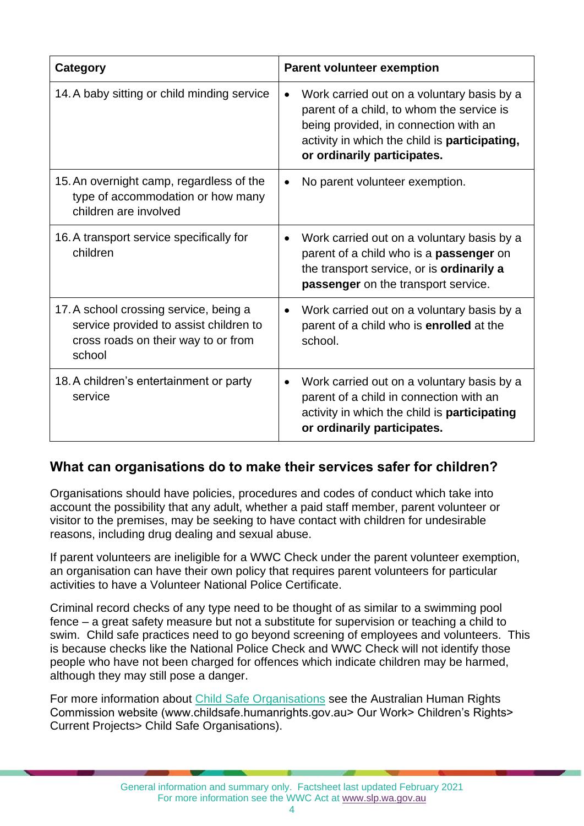| <b>Category</b>                                                                                                                   | <b>Parent volunteer exemption</b>                                                                                                                                                                                             |
|-----------------------------------------------------------------------------------------------------------------------------------|-------------------------------------------------------------------------------------------------------------------------------------------------------------------------------------------------------------------------------|
| 14. A baby sitting or child minding service                                                                                       | Work carried out on a voluntary basis by a<br>$\bullet$<br>parent of a child, to whom the service is<br>being provided, in connection with an<br>activity in which the child is participating,<br>or ordinarily participates. |
| 15. An overnight camp, regardless of the<br>type of accommodation or how many<br>children are involved                            | No parent volunteer exemption.<br>$\bullet$                                                                                                                                                                                   |
| 16. A transport service specifically for<br>children                                                                              | Work carried out on a voluntary basis by a<br>$\bullet$<br>parent of a child who is a <b>passenger</b> on<br>the transport service, or is ordinarily a<br>passenger on the transport service.                                 |
| 17. A school crossing service, being a<br>service provided to assist children to<br>cross roads on their way to or from<br>school | Work carried out on a voluntary basis by a<br>$\bullet$<br>parent of a child who is enrolled at the<br>school.                                                                                                                |
| 18. A children's entertainment or party<br>service                                                                                | Work carried out on a voluntary basis by a<br>$\bullet$<br>parent of a child in connection with an<br>activity in which the child is participating<br>or ordinarily participates.                                             |

#### **What can organisations do to make their services safer for children?**

Organisations should have policies, procedures and codes of conduct which take into account the possibility that any adult, whether a paid staff member, parent volunteer or visitor to the premises, may be seeking to have contact with children for undesirable reasons, including drug dealing and sexual abuse.

If parent volunteers are ineligible for a WWC Check under the parent volunteer exemption, an organisation can have their own policy that requires parent volunteers for particular activities to have a Volunteer National Police Certificate.

Criminal record checks of any type need to be thought of as similar to a swimming pool fence – a great safety measure but not a substitute for supervision or teaching a child to swim. Child safe practices need to go beyond screening of employees and volunteers. This is because checks like the National Police Check and WWC Check will not identify those people who have not been charged for offences which indicate children may be harmed, although they may still pose a danger.

For more information about [Child Safe Organisations](https://humanrights.gov.au/our-work/childrens-rights/projects/child-safe-organisations) see the Australian Human Rights Commission website (www.childsafe.humanrights.gov.au> Our Work> Children's Rights> Current Projects> Child Safe Organisations).